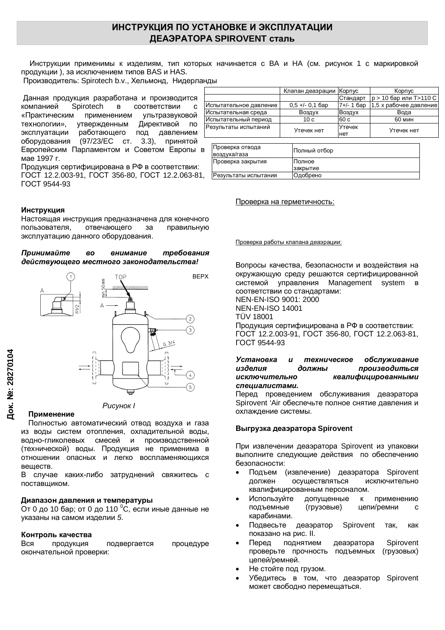# ИНСТРУКЦИЯ ПО УСТАНОВКЕ И ЭКСПЛУАТАЦИИ **ЛЕАЭРАТОРА SPIROVENT сталь**

Инструкции применимы к изделиям, тип которых начинается с ВА и НА (см. рисунок 1 с маркировкой продукции), за исключением типов BAS и HAS.

Производитель: Spirotech b.v., Хельмонд, Нидерланды

Данная продукция разработана и производится компанией Spirotech в соответствии с «Практическим применением ультразвуковой технологии», утвержденным Директивой по эксплуатации работающего под давлением оборудования (97/23/EC ст. 3.3), принятой Европейским Парламентом и Советом Европы в мае 1997 г.

Продукция сертифицирована в РФ в соответствии: ГОСТ 12.2.003-91, ГОСТ 356-80, ГОСТ 12.2.063-81, ГОСТ 9544-93

## **Инструкция**

Настоящая инструкция предназначена для конечного пользователя, отвечающего за правильную эксплуатацию данного оборудования.

#### Принимайте во внимание требования  $\theta$ ействующего местного законодательства!



**Рисунок** *I* 

#### Применение

Полностью автоматический отвод воздуха и газа из воды систем отопления, охладительной воды, водно-гликолевых смесей и производственной (технической) воды. Продукция не применима в отношении опасных и легко воспламеняющихся вешеств.

В случае каких-либо затруднений свяжитесь с поставщиком.

### Диапазон давления и температуры

От 0 до 10 бар; от 0 до 110 °С, если иные данные не указаны на самом изделии 5.

#### Контроль качества

Вся продукция подвергается процедуре окончательной проверки:

|                        | Клапан деаэрации   Корпус |              | Корпус                   |
|------------------------|---------------------------|--------------|--------------------------|
|                        |                           | Стандарт     | $p > 10$ бар или Т>110 С |
| Испытательное давление | $0.5 +/- 0.1$ bap         | $7+/- 1$ бар | 1,5 х рабочее давление   |
| Испытательная среда    | Воздух                    | Воздух       | Вода                     |
| Испытательный период   | 10c                       | 60 c         | <b>60 мин</b>            |
| Результаты испытаний   | Утечек нет                | Утечек       | Утечек нет               |
|                        |                           | нет          |                          |

| Проверка отвода<br>воздуха/газа | Полный отбор |
|---------------------------------|--------------|
| Проверка закрытия               | Полное       |
|                                 | закрытие     |
| Результаты испытания            | Одобрено     |

#### Проверка на герметичность:

Проверка работы клапана деаэрации:

Вопросы качества, безопасности и воздействия на окружающую среду решаются сертифицированной системой управления Management system в соответствии со стандартами: NEN-EN-ISO 9001: 2000 NEN-EN-ISO 14001 TÜV 18001 Продукция сертифицирована в РФ в соответствии: ȽɈɋɌ 12.2.003-91, ȽɈɋɌ 356-80, ȽɈɋɌ 12.2.063-81, ГОСТ 9544-93

### Установка и техническое обслуживание изделия должны производиться исключительно квалифицированными специалистами.

Перед проведением обслуживания деаэратора Spirovent 'Air обеспечьте полное снятие давления и охлаждение системы.

## **ȼɵɝɪɭɡɤɚɞɟɚɷɪɚɬɨɪɚ Spirovent**

При извлечении деаэратора Spirovent из упаковки выполните следующие действия по обеспечению безопасности:

- Подъем (извлечение) деаэратора Spirovent должен осушествляться исключительно квалифицированным персоналом.
- Используйте допущенные к применению подъемные (грузовые) цепи/ремни с карабинами.
- Подвесьте деаэратор Spirovent так, как показано на рис. II.
- Перед поднятием деаэратора Spirovent проверьте прочность подъемных (грузовых) цепей/ремней.
- Не стойте под грузом.
- Убедитесь в том, что деаэратор Spirovent может свободно перемещаться.